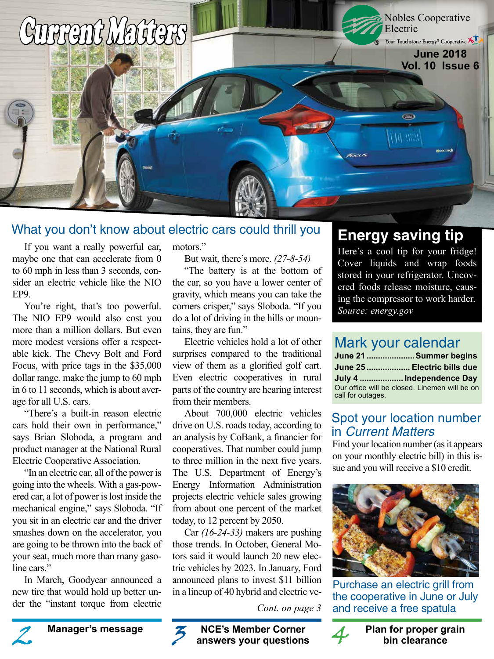

### What you don't know about electric cars could thrill you

If you want a really powerful car, maybe one that can accelerate from 0 to 60 mph in less than 3 seconds, consider an electric vehicle like the NIO EP9.

You're right, that's too powerful. The NIO EP9 would also cost you more than a million dollars. But even more modest versions offer a respectable kick. The Chevy Bolt and Ford Focus, with price tags in the \$35,000 dollar range, make the jump to 60 mph in 6 to 11 seconds, which is about average for all U.S. cars.

"There's a built-in reason electric cars hold their own in performance," says Brian Sloboda, a program and product manager at the National Rural Electric Cooperative Association.

"In an electric car, all of the power is going into the wheels. With a gas-powered car, a lot of power is lost inside the mechanical engine," says Sloboda. "If you sit in an electric car and the driver smashes down on the accelerator, you are going to be thrown into the back of your seat, much more than many gasoline cars."

In March, Goodyear announced a new tire that would hold up better under the "instant torque from electric motors."

But wait, there's more. *(27-8-54)*

"The battery is at the bottom of the car, so you have a lower center of gravity, which means you can take the corners crisper," says Sloboda. "If you do a lot of driving in the hills or mountains, they are fun."

Electric vehicles hold a lot of other surprises compared to the traditional view of them as a glorified golf cart. Even electric cooperatives in rural parts of the country are hearing interest from their members.

About 700,000 electric vehicles drive on U.S. roads today, according to an analysis by CoBank, a financier for cooperatives. That number could jump to three million in the next five years. The U.S. Department of Energy's Energy Information Administration projects electric vehicle sales growing from about one percent of the market today, to 12 percent by 2050.

Car *(16-24-33)* makers are pushing those trends. In October, General Motors said it would launch 20 new electric vehicles by 2023. In January, Ford announced plans to invest \$11 billion in a lineup of 40 hybrid and electric ve-

*Cont. on page 3*

**NCE's Member Corner answers your questions Manager's message and MCE's Member Corner 4 and Plan for proper grain**<br>answers your questions 4 bin clearance

## **Energy saving tip**

Here's a cool tip for your fridge! Cover liquids and wrap foods stored in your refrigerator. Uncovered foods release moisture, causing the compressor to work harder. *Source: energy.gov*

## Mark your calendar

|                                                                    | June 21  Summer begins      |
|--------------------------------------------------------------------|-----------------------------|
|                                                                    | June 25  Electric bills due |
|                                                                    | July 4  Independence Day    |
| Our office will be closed. Linemen will be on<br>call for outages. |                             |

### Spot your location number in Current Matters

Find your location number (as it appears on your monthly electric bill) in this issue and you will receive a \$10 credit.



Purchase an electric grill from the cooperative in June or July and receive a free spatula



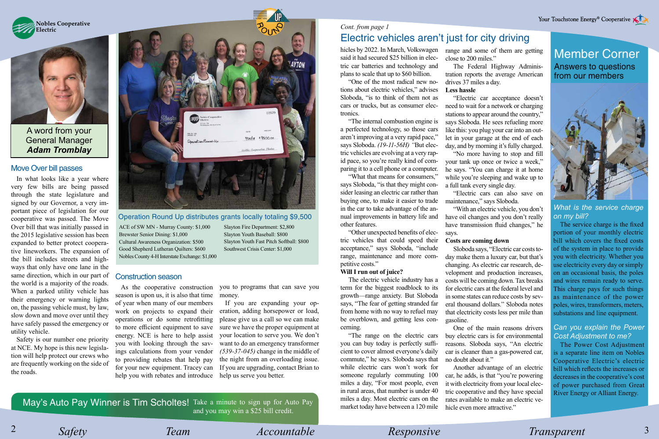**Nobles Cooperative Electric**



A word from your General Manager *Adam Tromblay*

### Move Over bill passes

In what looks like a year where very few bills are being passed through the state legislature and signed by our Governor, a very important piece of legislation for our cooperative was passed. The Move Over bill that was initially passed in the 2015 legislative session has been expanded to better protect cooperative lineworkers. The expansion of the bill includes streets and highways that only have one lane in the same direction, which in our part of the world is a majority of the roads. When a parked utility vehicle has their emergency or warning lights on, the passing vehicle must, by law, slow down and move over until they have safely passed the emergency or utility vehicle.

Safety is our number one priority at NCE. My hope is this new legislation will help protect our crews who are frequently working on the side of the roads.



### Operation Round Up distributes grants locally totaling \$9,500

ACE of SW MN - Murray County: \$1,000 Brewster Senior Dining: \$1,000 Cultural Awareness Organization: \$500 Good Shepherd Lutheran Quilters: \$600 Nobles County 4-H Interstate Exchange: \$1,000

### Construction season

As the cooperative construction season is upon us, it is also that time of year when many of our members work on projects to expand their operations or do some retrofitting to more efficient equipment to save energy. NCE is here to help assist you with looking through the savings calculations from your vendor to providing rebates that help pay for your new equipment. Tracey can help you with rebates and introduce Slayton Fire Department: \$2,800 Slayton Youth Baseball: \$800 Slayton Youth Fast Pitch Softball: \$800 Southwest Crisis Center: \$1,000

you to programs that can save you money.

> If you are expanding your operation, adding horsepower or load, please give us a call so we can make sure we have the proper equipment at your location to serve you. We don't want to do an emergency transformer *(539-37-045)* change in the middle of the night from an overloading issue. If you are upgrading, contact Brian to help us serve you better.

*Cont. from page 1*

# Electric vehicles aren't just for city driving

hicles by 2022. In March, Volkswagen said it had secured \$25 billion in electric car batteries and technology and plans to scale that up to \$60 billion.

"One of the most radical new notions about electric vehicles," advises Sloboda, "is to think of them not as cars or trucks, but as consumer electronics.

"The internal combustion engine is a perfected technology, so those cars aren't improving at a very rapid pace," says Sloboda. *(19-11-56H) "*But electric vehicles are evolving at a very rapid pace, so you're really kind of comparing it to a cell phone or a computer.

"What that means for consumers," says Sloboda, "is that they might consider leasing an electric car rather than buying one, to make it easier to trade in the car to take advantage of the annual improvements in battery life and other features.

"Other unexpected benefits of electric vehicles that could speed their acceptance," says Sloboda, "include range, maintenance and more competitive costs."

### **Will I run out of juice?**

The electric vehicle industry has a term for the biggest roadblock to its growth—range anxiety. But Sloboda says, "The fear of getting stranded far from home with no way to refuel may be overblown, and getting less concerning.

"The range on the electric cars you can buy today is perfectly sufficient to cover almost everyone's daily commute," he says. Sloboda says that while electric cars won't work for someone regularly commuting 100 miles a day, "For most people, even in rural areas, that number is under 40 miles a day. Most electric cars on the market today have between a 120 mile range and some of them are getting close to 200 miles."

The Federal Highway Administration reports the average American drives 37 miles a day. **Less hassle**

"Electric car acceptance doesn't need to wait for a network or charging stations to appear around the country," says Sloboda. He sees refueling more like this: you plug your car into an outlet in your garage at the end of each day, and by morning it's fully charged.

"No more having to stop and fill your tank up once or twice a week," he says. "You can charge it at home while you're sleeping and wake up to a full tank every single day.

"Electric cars can also save on maintenance," says Sloboda.

"With an electric vehicle, you don't have oil changes and you don't really have transmission fluid changes," he says.

#### **Costs are coming down**

Sloboda says, "Electric car costs today make them a luxury car, but that's changing. As electric car research, development and production increases, costs will be coming down. Tax breaks for electric cars at the federal level and in some states can reduce costs by several thousand dollars." Sloboda notes that electricity costs less per mile than gasoline.

One of the main reasons drivers buy electric cars is for environmental reasons. Sloboda says, "An electric car is cleaner than a gas-powered car, no doubt about it."

Another advantage of an electric car, he adds, is that "you're powering it with electricity from your local electric cooperative and they have special rates available to make an electric vehicle even more attractive."

# Member Corner Answers to questions

from our members



*What is the service charge on my bill?*

The service charge is the fixed portion of your monthly electric bill which covers the fixed costs of the system in place to provide you with electricity. Whether you use electricity every day or simply on an occasional basis, the poles and wires remain ready to serve. This charge pays for such things as maintenance of the power poles, wires, transformers, meters, substations and line equipment.

### *Can you explain the Power Cost Adjustment to me?*

The Power Cost Adjustment is a separate line item on Nobles Cooperative Electric's electric bill which reflects the increases or decreases in the cooperative's cost of power purchased from Great River Energy or Alliant Energy.

May's Auto Pay Winner is Tim Scholtes! Take a minute to sign up for Auto Pay and you may win a \$25 bill credit.

2 Safety Team *Accountable* Responsive Transparent 3  *Safety Team Accountable Responsive Transparent*